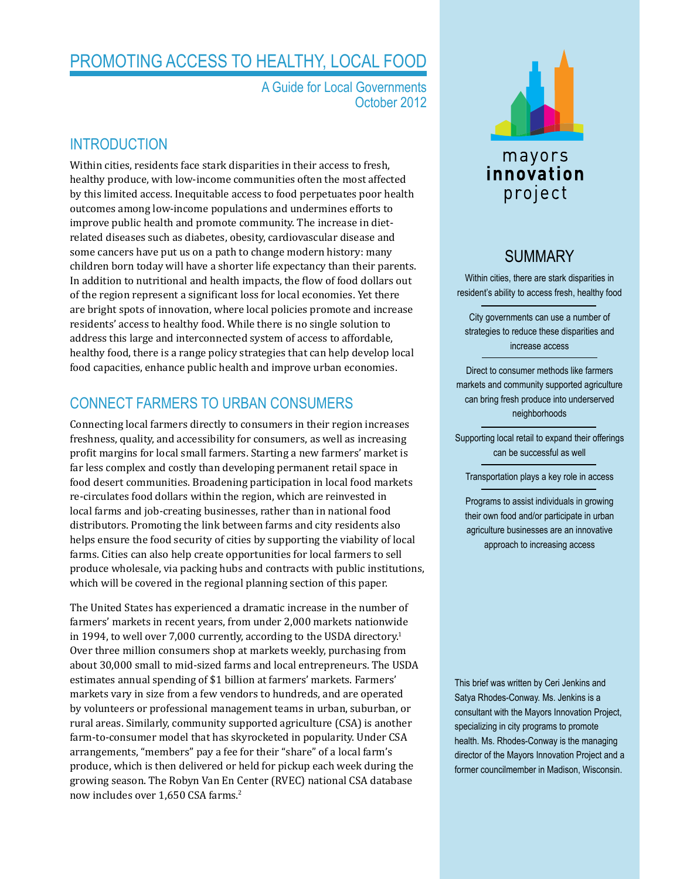# promoting access to healthy, Local food

A Guide for Local Governments October 2012

### **INTRODUCTION**

Within cities, residents face stark disparities in their access to fresh, healthy produce, with low-income communities often the most affected by this limited access. Inequitable access to food perpetuates poor health outcomes among low-income populations and undermines efforts to improve public health and promote community. The increase in dietrelated diseases such as diabetes, obesity, cardiovascular disease and some cancers have put us on a path to change modern history: many children born today will have a shorter life expectancy than their parents. In addition to nutritional and health impacts, the flow of food dollars out of the region represent a significant loss for local economies. Yet there are bright spots of innovation, where local policies promote and increase residents' access to healthy food. While there is no single solution to address this large and interconnected system of access to affordable, healthy food, there is a range policy strategies that can help develop local food capacities, enhance public health and improve urban economies.

# Connect Farmers to Urban Consumers

Connecting local farmers directly to consumers in their region increases freshness, quality, and accessibility for consumers, as well as increasing profit margins for local small farmers. Starting a new farmers' market is far less complex and costly than developing permanent retail space in food desert communities. Broadening participation in local food markets re-circulates food dollars within the region, which are reinvested in local farms and job-creating businesses, rather than in national food distributors. Promoting the link between farms and city residents also helps ensure the food security of cities by supporting the viability of local farms. Cities can also help create opportunities for local farmers to sell produce wholesale, via packing hubs and contracts with public institutions, which will be covered in the regional planning section of this paper.

The United States has experienced a dramatic increase in the number of farmers' markets in recent years, from under 2,000 markets nationwide in 1994, to well over 7,000 currently, according to the USDA directory.<sup>1</sup> Over three million consumers shop at markets weekly, purchasing from about 30,000 small to mid-sized farms and local entrepreneurs. The USDA estimates annual spending of \$1 billion at farmers' markets. Farmers' markets vary in size from a few vendors to hundreds, and are operated by volunteers or professional management teams in urban, suburban, or rural areas. Similarly, community supported agriculture (CSA) is another farm-to-consumer model that has skyrocketed in popularity. Under CSA arrangements, "members" pay a fee for their "share" of a local farm's produce, which is then delivered or held for pickup each week during the growing season. The Robyn Van En Center (RVEC) national CSA database now includes over 1,650 CSA farms.<sup>2</sup>



# **SUMMARY**

Within cities, there are stark disparities in resident's ability to access fresh, healthy food

City governments can use a number of strategies to reduce these disparities and increase access

Direct to consumer methods like farmers markets and community supported agriculture can bring fresh produce into underserved neighborhoods

Supporting local retail to expand their offerings can be successful as well

Transportation plays a key role in access

Programs to assist individuals in growing their own food and/or participate in urban agriculture businesses are an innovative approach to increasing access

This brief was written by Ceri Jenkins and Satya Rhodes-Conway. Ms. Jenkins is a consultant with the Mayors Innovation Project, specializing in city programs to promote health. Ms. Rhodes-Conway is the managing director of the Mayors Innovation Project and a former councilmember in Madison, Wisconsin.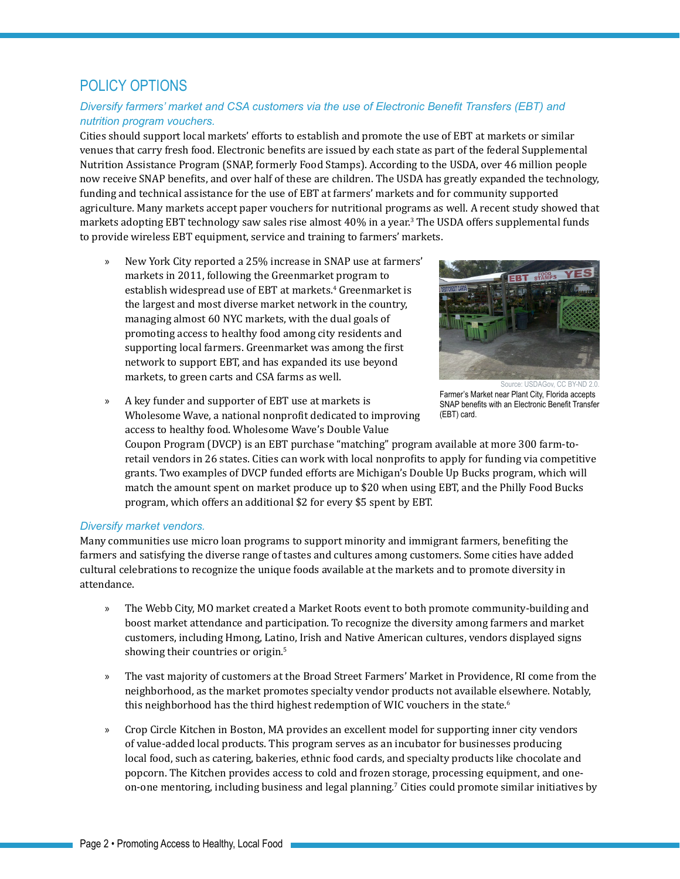# Policy Options

### *Diversify farmers' market and CSA customers via the use of Electronic Benefit Transfers (EBT) and nutrition program vouchers.*

Cities should support local markets' efforts to establish and promote the use of EBT at markets or similar venues that carry fresh food. Electronic benefits are issued by each state as part of the federal Supplemental Nutrition Assistance Program (SNAP, formerly Food Stamps). According to the USDA, over 46 million people now receive SNAP benefits, and over half of these are children. The USDA has greatly expanded the technology, funding and technical assistance for the use of EBT at farmers' markets and for community supported agriculture. Many markets accept paper vouchers for nutritional programs as well. A recent study showed that markets adopting EBT technology saw sales rise almost 40% in a year.<sup>3</sup> The USDA offers supplemental funds to provide wireless EBT equipment, service and training to farmers' markets.

» New York City reported a 25% increase in SNAP use at farmers' markets in 2011, following the [Greenmarket](http://www.grownyc.org/greenmarket/ebt) program to establish widespread use of EBT at markets.<sup>4</sup> Greenmarket is the largest and most diverse market network in the country, managing almost 60 NYC markets, with the dual goals of promoting access to healthy food among city residents and supporting local farmers. Greenmarket was among the first network to support EBT, and has expanded its use beyond markets, to green carts and CSA farms as well.



Farmer's Market near Plant City, Florida accepts SNAP benefits with an Electronic Benefit Transfer (EBT) card. Source: USDAGov, CC [BY-ND 2.0](http://creativecommons.org/licenses/by-nd/2.0/deed.en)

» A key funder and supporter of EBT use at markets is Wholesome Wave, a national nonprofit dedicated to improving access to healthy food. Wholesome Wave's Double Value

Coupon Program (DVCP) is an EBT purchase "matching" program available at more 300 farm-toretail vendors in 26 states. Cities can work with local nonprofits to apply for funding via competitive grants. Two examples of DVCP funded efforts are Michigan's [Double Up Bucks](http://www.doubleupfoodbucks.org/) program, which will match the amount spent on market produce up to \$20 when using EBT, and the Philly Food Bucks program, which offers an additional \$2 for every \$5 spent by EBT.

#### *Diversify market vendors.*

Many communities use micro loan programs to support minority and immigrant farmers, benefiting the farmers and satisfying the diverse range of tastes and cultures among customers. Some cities have added cultural celebrations to recognize the unique foods available at the markets and to promote diversity in attendance.

- » The Webb City, MO market created a Market Roots event to both promote community-building and boost market attendance and participation. To recognize the diversity among farmers and market customers, including Hmong, Latino, Irish and Native American cultures, vendors displayed signs showing their countries or origin.5
- » The vast majority of customers at the [Broad Street Farmers' Market](http://www.farmfreshri.org/about/freshbucks.php) in Providence, RI come from the neighborhood, as the market promotes specialty vendor products not available elsewhere. Notably, this neighborhood has the third highest redemption of WIC vouchers in the state.<sup>6</sup>
- » Crop Circle Kitchen in Boston, MA provides an excellent model for supporting inner city vendors of value-added local products. This program serves as an incubator for businesses producing local food, such as catering, bakeries, ethnic food cards, and specialty products like chocolate and popcorn. The Kitchen provides access to cold and frozen storage, processing equipment, and oneon-one mentoring, including business and legal planning.<sup>7</sup> Cities could promote similar initiatives by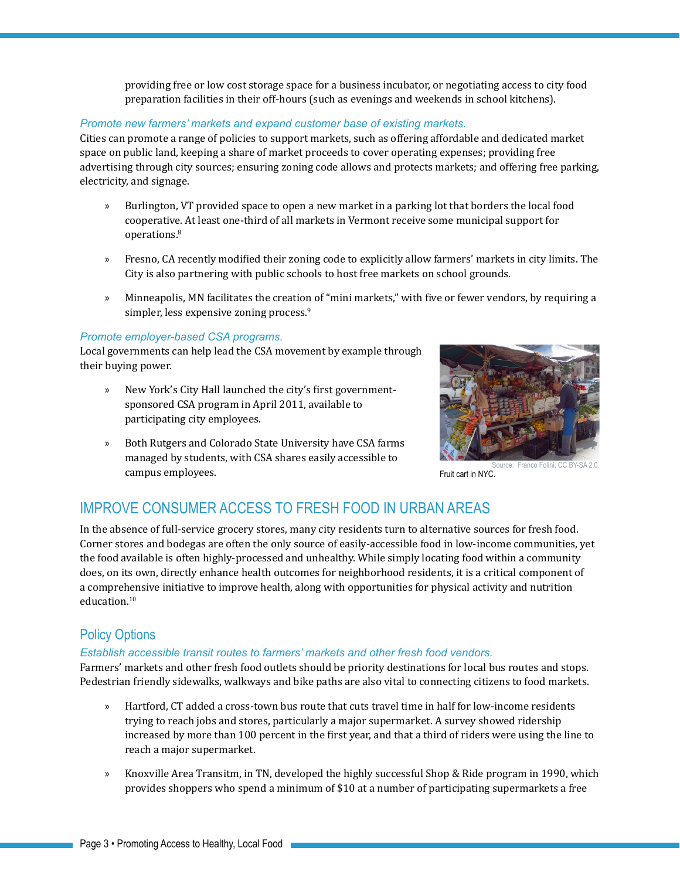providing free or low cost storage space for a business incubator, or negotiating access to city food preparation facilities in their off-hours (such as evenings and weekends in school kitchens).

### *Promote new farmers' markets and expand customer base of existing markets.*

Cities can promote a range of policies to support markets, such as offering affordable and dedicated market space on public land, keeping a share of market proceeds to cover operating expenses; providing free advertising through city sources; ensuring zoning code allows and protects markets; and offering free parking, electricity, and signage.

- » Burlington, VT provided space to open a new market in a parking lot that borders the local food cooperative. At least one-third of all markets in Vermont receive some municipal support for operations.<sup>8</sup>
- » Fresno, CA recently modified their zoning code to explicitly allow farmers' markets in city limits. The City is also partnering with public schools to host free markets on school grounds.
- » Minneapolis, MN facilitates the creation of "mini markets," with five or fewer vendors, by requiring a simpler, less expensive zoning process.<sup>9</sup>

#### *Promote employer-based CSA programs.*

Local governments can help lead the CSA movement by example through their buying power.

- » New York's City Hall launched the city's first governmentsponsored CSA program in April 2011, available to participating city employees.
- » Both Rutgers and Colorado State University have CSA farms managed by students, with CSA shares easily accessible to campus employees.



Fruit cart in NYC. ce: Franco Folini, CC [BY-SA 2.0](http://creativecommons.org/licenses/by-sa/2.0/legalcode).

# Improve Consumer Access to Fresh Food in Urban Areas

In the absence of full-service grocery stores, many city residents turn to alternative sources for fresh food. Corner stores and bodegas are often the only source of easily-accessible food in low-income communities, yet the food available is often highly-processed and unhealthy. While simply locating food within a community does, on its own, directly enhance health outcomes for neighborhood residents, it is a critical component of a comprehensive initiative to improve health, along with opportunities for physical activity and nutrition education.<sup>10</sup>

### Policy Options

### *Establish accessible transit routes to farmers' markets and other fresh food vendors.*

Farmers' markets and other fresh food outlets should be priority destinations for local bus routes and stops. Pedestrian friendly sidewalks, walkways and bike paths are also vital to connecting citizens to food markets.

- » Hartford, CT added a cross-town bus route that cuts travel time in half for low-income residents trying to reach jobs and stores, particularly a major supermarket. A survey showed ridership increased by more than 100 percent in the first year, and that a third of riders were using the line to reach a major supermarket.
- » Knoxville Area Transitm, in TN, developed the highly successful Shop & Ride program in 1990, which provides shoppers who spend a minimum of \$10 at a number of participating supermarkets a free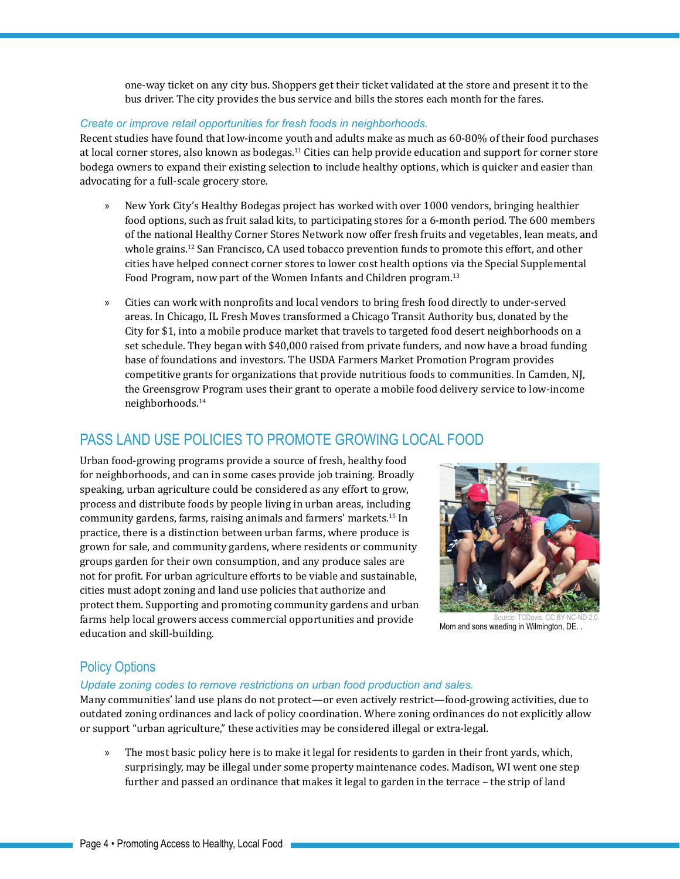one-way ticket on any city bus. Shoppers get their ticket validated at the store and present it to the bus driver. The city provides the bus service and bills the stores each month for the fares.

### *Create or improve retail opportunities for fresh foods in neighborhoods.*

Recent studies have found that low-income youth and adults make as much as 60-80% of their food purchases at local corner stores, also known as bodegas.<sup>11</sup> Cities can help provide education and support for corner store bodega owners to expand their existing selection to include healthy options, which is quicker and easier than advocating for a full-scale grocery store.

- » New York City's Healthy Bodegas project has worked with over 1000 vendors, bringing healthier food options, such as fruit salad kits, to participating stores for a 6-month period. The 600 members of the national Healthy Corner Stores Network now offer fresh fruits and vegetables, lean meats, and whole grains.<sup>12</sup> San Francisco, CA used tobacco prevention funds to promote this effort, and other cities have helped connect corner stores to lower cost health options via the Special Supplemental Food Program, now part of the Women Infants and Children program.<sup>13</sup>
- » Cities can work with nonprofits and local vendors to bring fresh food directly to under-served areas. In Chicago, IL Fresh Moves transformed a Chicago Transit Authority bus, donated by the City for \$1, into a mobile produce market that travels to targeted food desert neighborhoods on a set schedule. They began with \$40,000 raised from private funders, and now have a broad funding base of foundations and investors. The USDA Farmers Market Promotion Program provides competitive grants for organizations that provide nutritious foods to communities. In Camden, NJ, the Greensgrow Program uses their grant to operate a mobile food delivery service to low-income neighborhoods.14

# PASS LAND USE POLICIES TO PROMOTE GROWING LOCAL FOOD

Urban food-growing programs provide a source of fresh, healthy food for neighborhoods, and can in some cases provide job training. Broadly speaking, urban agriculture could be considered as any effort to grow, process and distribute foods by people living in urban areas, including community gardens, farms, raising animals and farmers' markets.15 In practice, there is a distinction between urban farms, where produce is grown for sale, and community gardens, where residents or community groups garden for their own consumption, and any produce sales are not for profit. For urban agriculture efforts to be viable and sustainable, cities must adopt zoning and land use policies that authorize and protect them. Supporting and promoting community gardens and urban farms help local growers access commercial opportunities and provide education and skill-building.



Mom and sons weeding in Wilmington, DE. . Source: TCDavis, CC [BY-NC-ND 2.0](http://creativecommons.org/licenses/by-nc-nd/2.0/deed.en).

### Policy Options

### *Update zoning codes to remove restrictions on urban food production and sales.*

Many communities' land use plans do not protect—or even actively restrict—food-growing activities, due to outdated zoning ordinances and lack of policy coordination. Where zoning ordinances do not explicitly allow or support "urban agriculture," these activities may be considered illegal or extra-legal.

» The most basic policy here is to make it legal for residents to garden in their front yards, which, surprisingly, may be illegal under some property maintenance codes. Madison, WI went one step further and passed an ordinance that makes it legal to garden in the terrace – the strip of land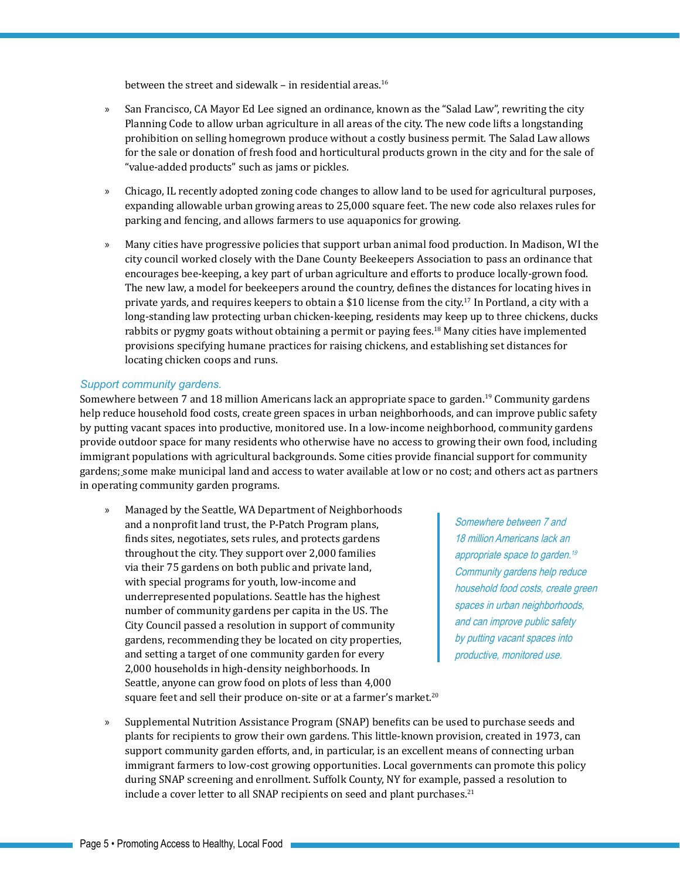between the street and sidewalk – in residential areas. $16$ 

- » San Francisco, CA Mayor Ed Lee signed an ordinance, known as the "Salad Law", rewriting the city Planning Code to allow urban agriculture in all areas of the city. The new code lifts a longstanding prohibition on selling homegrown produce without a costly business permit. The Salad Law allows for the sale or donation of fresh food and horticultural products grown in the city and for the sale of "value-added products" such as jams or pickles.
- » Chicago, IL recently adopted zoning code changes to allow land to be used for agricultural purposes, expanding allowable urban growing areas to 25,000 square feet. The new code also relaxes rules for parking and fencing, and allows farmers to use aquaponics for growing.
- » Many cities have progressive policies that support urban animal food production. In Madison, WI the city council worked closely with the Dane County Beekeepers Association to pass an ordinance that encourages bee-keeping, a key part of urban agriculture and efforts to produce locally-grown food. The new law, a model for beekeepers around the country, defines the distances for locating hives in private yards, and requires keepers to obtain a \$10 license from the city.17 In Portland, a city with a long-standing law protecting urban chicken-keeping, residents may keep up to three chickens, ducks rabbits or pygmy goats without obtaining a permit or paying fees.<sup>18</sup> Many cities have implemented provisions specifying humane practices for raising chickens, and establishing set distances for locating chicken coops and runs.

#### *Support community gardens.*

Somewhere between 7 and 18 million Americans lack an appropriate space to garden.<sup>19</sup> Community gardens help reduce household food costs, create green spaces in urban neighborhoods, and can improve public safety by putting vacant spaces into productive, monitored use. In a low-income neighborhood, community gardens provide outdoor space for many residents who otherwise have no access to growing their own food, including immigrant populations with agricultural backgrounds. Some cities provide financial support for community gardens; some make municipal land and access to water available at low or no cost; and others act as partners in operating community garden programs.

» Managed by the Seattle, WA Department of Neighborhoods and a nonprofit land trust, the [P-Patch Program](http://www.ppatchtrust.org/) plans, finds sites, negotiates, sets rules, and protects gardens throughout the city. They support over 2,000 families via their 75 gardens on both public and private land, with special programs for youth, low-income and underrepresented populations. Seattle has the highest number of community gardens per capita in the US. The City Council passed a resolution in support of community gardens, recommending they be located on city properties, and setting a target of one community garden for every 2,000 households in high-density neighborhoods. In Seattle, anyone can grow food on plots of less than 4,000 square feet and sell their produce on-site or at a farmer's market.<sup>20</sup>

Somewhere between 7 and 18 million Americans lack an appropriate space to garden.<sup>19</sup> Community gardens help reduce household food costs, create green spaces in urban neighborhoods, and can improve public safety by putting vacant spaces into productive, monitored use.

- 
- » Supplemental Nutrition Assistance Program (SNAP) benefits can be used to purchase seeds and plants for recipients to grow their own gardens. This little-known provision, created in 1973, can support community garden efforts, and, in particular, is an excellent means of connecting urban immigrant farmers to low-cost growing opportunities. Local governments can promote this policy during SNAP screening and enrollment. Suffolk County, NY for example, passed a resolution to include a cover letter to all SNAP recipients on seed and plant purchases.<sup>21</sup>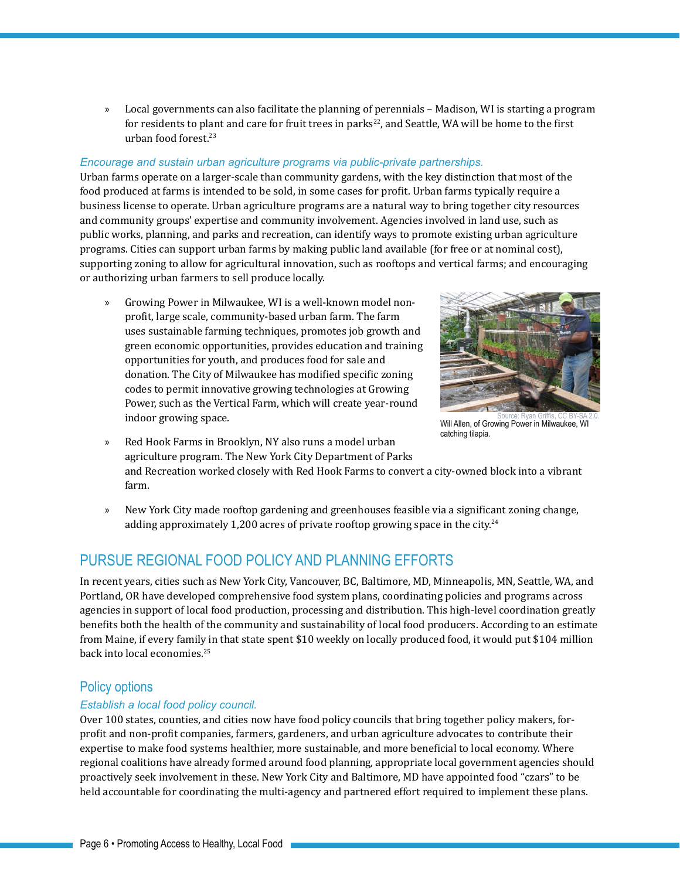» Local governments can also facilitate the planning of perennials – Madison, WI is starting a program for residents to plant and care for fruit trees in parks $^{22}$ , and Seattle, WA will be home to the first urban food forest.23

#### *Encourage and sustain urban agriculture programs via public-private partnerships.*

Urban farms operate on a larger-scale than community gardens, with the key distinction that most of the food produced at farms is intended to be sold, in some cases for profit. Urban farms typically require a business license to operate. Urban agriculture programs are a natural way to bring together city resources and community groups' expertise and community involvement. Agencies involved in land use, such as public works, planning, and parks and recreation, can identify ways to promote existing urban agriculture programs. Cities can support urban farms by making public land available (for free or at nominal cost), supporting zoning to allow for agricultural innovation, such as rooftops and vertical farms; and encouraging or authorizing urban farmers to sell produce locally.

» [Growing Power](http://www.growingpower.org/) in Milwaukee, WI is a well-known model nonprofit, large scale, community-based urban farm. The farm uses sustainable farming techniques, promotes job growth and green economic opportunities, provides education and training opportunities for youth, and produces food for sale and donation. The City of Milwaukee has modified specific zoning codes to permit innovative growing technologies at Growing Power, such as the Vertical Farm, which will create year-round indoor growing space.



Source: Ryan Griffis, [CC BY-SA 2.0](http://creativecommons.org/licenses/by-sa/2.0/legalcode).<br>**Will Allen, of Growing Power in Milwaukee, WI** catching tilapia.

- » [Red Hook Farms](http://www.added-value.org/) in Brooklyn, NY also runs a model urban agriculture program. The New York City Department of Parks and Recreation worked closely with Red Hook Farms to convert a city-owned block into a vibrant farm.
- » New York City made rooftop gardening and greenhouses feasible via a significant zoning change, adding approximately 1,200 acres of private rooftop growing space in the city.<sup>24</sup>

### Pursue Regional Food Policy and Planning Efforts

In recent years, cities such as New York City, Vancouver, BC, Baltimore, MD, Minneapolis, MN, Seattle, WA, and Portland, OR have developed comprehensive food system plans, coordinating policies and programs across agencies in support of local food production, processing and distribution. This high-level coordination greatly benefits both the health of the community and sustainability of local food producers. According to an estimate from Maine, if every family in that state spent \$10 weekly on locally produced food, it would put \$104 million back into local economies.<sup>25</sup>

### Policy options

#### *Establish a local food policy council.*

Over 100 states, counties, and cities now have food policy councils that bring together policy makers, forprofit and non-profit companies, farmers, gardeners, and urban agriculture advocates to contribute their expertise to make food systems healthier, more sustainable, and more beneficial to local economy. Where regional coalitions have already formed around food planning, appropriate local government agencies should proactively seek involvement in these. New York City and Baltimore, MD have appointed food "czars" to be held accountable for coordinating the multi-agency and partnered effort required to implement these plans.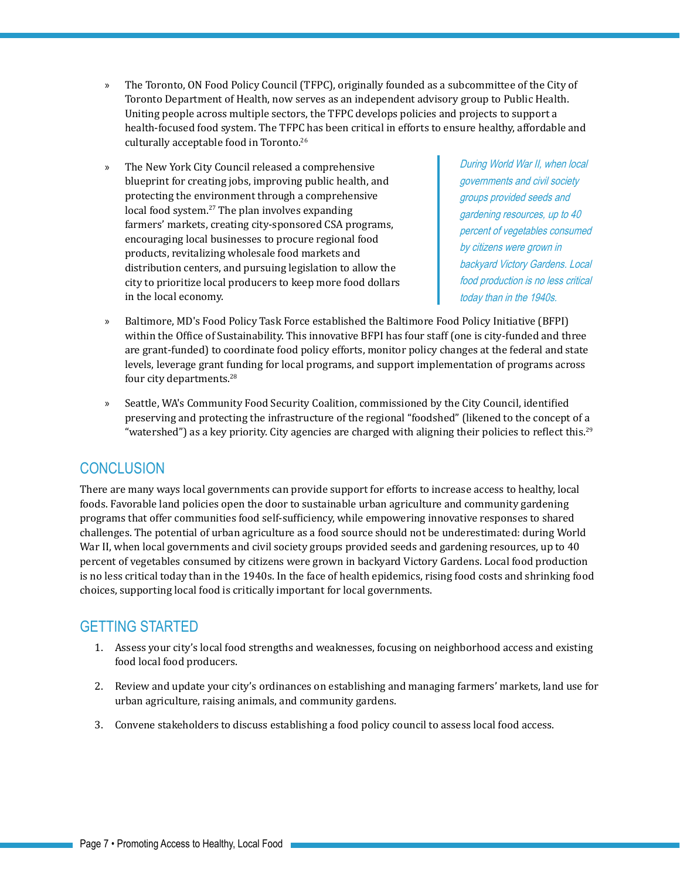- » The Toronto, ON Food Policy Council (TFPC), originally founded as a subcommittee of the City of Toronto Department of Health, now serves as an independent advisory group to Public Health. Uniting people across multiple sectors, the TFPC develops policies and projects to support a health-focused food system. The TFPC has been critical in efforts to ensure healthy, affordable and culturally acceptable food in Toronto.26
- » The New York City Council released a comprehensive blueprint for creating jobs, improving public health, and protecting the environment through a comprehensive local food system.<sup>27</sup> The plan involves expanding farmers' markets, creating city-sponsored CSA programs, encouraging local businesses to procure regional food products, revitalizing wholesale food markets and distribution centers, and pursuing legislation to allow the city to prioritize local producers to keep more food dollars in the local economy.

During World War II, when local governments and civil society groups provided seeds and gardening resources, up to 40 percent of vegetables consumed by citizens were grown in backyard Victory Gardens. Local food production is no less critical today than in the 1940s.

- » Baltimore, MD's Food Policy Task Force established the Baltimore Food Policy Initiative (BFPI) within the Office of Sustainability. This innovative BFPI has four staff (one is city-funded and three are grant-funded) to coordinate food policy efforts, monitor policy changes at the federal and state levels, leverage grant funding for local programs, and support implementation of programs across four city departments.28
- » Seattle, WA's Community Food Security Coalition, commissioned by the City Council, identified preserving and protecting the infrastructure of the regional "foodshed" (likened to the concept of a "watershed") as a key priority. City agencies are charged with aligning their policies to reflect this.<sup>29</sup>

### **CONCLUSION**

There are many ways local governments can provide support for efforts to increase access to healthy, local foods. Favorable land policies open the door to sustainable urban agriculture and community gardening programs that offer communities food self-sufficiency, while empowering innovative responses to shared challenges. The potential of urban agriculture as a food source should not be underestimated: during World War II, when local governments and civil society groups provided seeds and gardening resources, up to 40 percent of vegetables consumed by citizens were grown in backyard Victory Gardens. Local food production is no less critical today than in the 1940s. In the face of health epidemics, rising food costs and shrinking food choices, supporting local food is critically important for local governments.

# **GETTING STARTED**

- 1. Assess your city's local food strengths and weaknesses, focusing on neighborhood access and existing food local food producers.
- 2. Review and update your city's ordinances on establishing and managing farmers' markets, land use for urban agriculture, raising animals, and community gardens.
- 3. Convene stakeholders to discuss establishing a food policy council to assess local food access.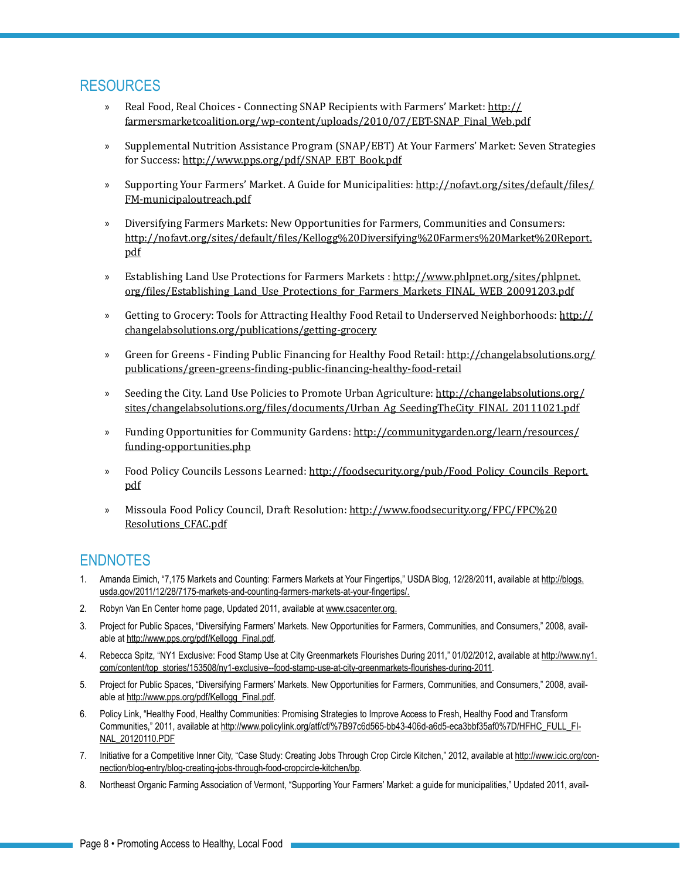### Resources

- » Real Food, Real Choices Connecting SNAP Recipients with Farmers' Market: [http://](http://farmersmarketcoalition.org/wp-content/uploads/2010/07/EBT-SNAP_Final_Web.pdf) [farmersmarketcoalition.org/wp-content/uploads/2010/07/EBT-SNAP\\_Final\\_Web.pdf](http://farmersmarketcoalition.org/wp-content/uploads/2010/07/EBT-SNAP_Final_Web.pdf)
- » Supplemental Nutrition Assistance Program (SNAP/EBT) At Your Farmers' Market: Seven Strategies for Success: [http://www.pps.org/pdf/SNAP\\_EBT\\_Book.pdf](http://www.pps.org/pdf/SNAP_EBT_Book.pdf)
- » Supporting Your Farmers' Market. A Guide for Municipalities: [http://nofavt.org/sites/default/files/](http://nofavt.org/sites/default/files/FM-municipaloutreach.pdf) [FM-municipaloutreach.pdf](http://nofavt.org/sites/default/files/FM-municipaloutreach.pdf)
- » Diversifying Farmers Markets: New Opportunities for Farmers, Communities and Consumers: [http://nofavt.org/sites/default/files/Kellogg%20Diversifying%20Farmers%20Market%20Report.](http://nofavt.org/sites/default/files/Kellogg%20Diversifying%20Farmers%20Market%20Report.pdf) [pdf](http://nofavt.org/sites/default/files/Kellogg%20Diversifying%20Farmers%20Market%20Report.pdf)
- » Establishing Land Use Protections for Farmers Markets : [http://www.phlpnet.org/sites/phlpnet.](http://www.phlpnet.org/sites/phlpnet.org/files/Establishing_Land_Use_Protections_for_Farmers_Markets_FINAL_WEB_20091203.pdf
) [org/files/Establishing\\_Land\\_Use\\_Protections\\_for\\_Farmers\\_Markets\\_FINAL\\_WEB\\_20091203.pdf](http://www.phlpnet.org/sites/phlpnet.org/files/Establishing_Land_Use_Protections_for_Farmers_Markets_FINAL_WEB_20091203.pdf
)
- » Getting to Grocery: Tools for Attracting Healthy Food Retail to Underserved Neighborhoods: [http://](http://changelabsolutions.org/publications/getting-grocery) [changelabsolutions.org/publications/getting-grocery](http://changelabsolutions.org/publications/getting-grocery)
- » Green for Greens Finding Public Financing for Healthy Food Retail: [http://changelabsolutions.org/](http://changelabsolutions.org/publications/green-greens-finding-public-financing-healthy-food-retail) [publications/green-greens-finding-public-financing-healthy-food-retail](http://changelabsolutions.org/publications/green-greens-finding-public-financing-healthy-food-retail)
- » Seeding the City. Land Use Policies to Promote Urban Agriculture: [http://changelabsolutions.org/](http://farmersmarketcoalition.org/wp-content/uploads/2010/07/EBT-SNAP_Final_Web.pdf) [sites/changelabsolutions.org/files/documents/Urban\\_Ag\\_SeedingTheCity\\_FINAL\\_20111021.pdf](http://farmersmarketcoalition.org/wp-content/uploads/2010/07/EBT-SNAP_Final_Web.pdf)
- » Funding Opportunities for Community Gardens: [http://communitygarden.org/learn/resources/](http://communitygarden.org/learn/resources/funding-opportunities.php
) [funding-opportunities.php](http://communitygarden.org/learn/resources/funding-opportunities.php
)
- » Food Policy Councils Lessons Learned: [http://foodsecurity.org/pub/Food\\_Policy\\_Councils\\_Report.](http://foodsecurity.org/pub/Food_Policy_Councils_Report.pdf
) [pdf](http://foodsecurity.org/pub/Food_Policy_Councils_Report.pdf
)
- » Missoula Food Policy Council, Draft Resolution: [http://www.foodsecurity.org/FPC/FPC%20](http://www.foodsecurity.org/FPC/FPC%20Resolutions_CFAC.pdf) [Resolutions\\_CFAC.pdf](http://www.foodsecurity.org/FPC/FPC%20Resolutions_CFAC.pdf)

### **ENDNOTES**

- 1. Amanda Eimich, "7,175 Markets and Counting: Farmers Markets at Your Fingertips," USDA Blog, 12/28/2011, available at [http://blogs.](http://blogs.usda.gov/2011/12/28/7175-markets-and-counting-farmers-markets-at-your-fingertips/) [usda.gov/2011/12/28/7175-markets-and-counting-farmers-markets-at-your-fingertips/.](http://blogs.usda.gov/2011/12/28/7175-markets-and-counting-farmers-markets-at-your-fingertips/)
- 2. Robyn Van En Center home page, Updated 2011, available at [www.csacenter.org.](http://www.csacenter.org)
- 3. Project for Public Spaces, "Diversifying Farmers' Markets. New Opportunities for Farmers, Communities, and Consumers," 2008, available at [http://www.pps.org/pdf/Kellogg\\_Final.pdf](http://www.pps.org/pdf/Kellogg_Final.pdf).
- 4. Rebecca Spitz, "NY1 Exclusive: Food Stamp Use at City Greenmarkets Flourishes During 2011," 01/02/2012, available at [http://www.ny1.](http://www.ny1.com/content/top_stories/153508/ny1-exclusive--food-stamp-use-at-city-greenmarkets-flourishes-during-2011) [com/content/top\\_stories/153508/ny1-exclusive--food-stamp-use-at-city-greenmarkets-flourishes-during-2011](http://www.ny1.com/content/top_stories/153508/ny1-exclusive--food-stamp-use-at-city-greenmarkets-flourishes-during-2011).
- 5. Project for Public Spaces, "Diversifying Farmers' Markets. New Opportunities for Farmers, Communities, and Consumers," 2008, available at [http://www.pps.org/pdf/Kellogg\\_Final.pdf](http://www.pps.org/pdf/Kellogg_Final.pdf).
- 6. Policy Link, "Healthy Food, Healthy Communities: Promising Strategies to Improve Access to Fresh, Healthy Food and Transform Communities," 2011, available at [http://www.policylink.org/atf/cf/%7B97c6d565-bb43-406d-a6d5-eca3bbf35af0%7D/HFHC\\_FULL\\_FI-](http://www.policylink.org/atf/cf/%7B97c6d565-bb43-406d-a6d5-eca3bbf35af0%7D/HFHC_FULL_FINAL_20120110.PDF)[NAL\\_20120110.PDF](http://www.policylink.org/atf/cf/%7B97c6d565-bb43-406d-a6d5-eca3bbf35af0%7D/HFHC_FULL_FINAL_20120110.PDF)
- 7. Initiative for a Competitive Inner City, "Case Study: Creating Jobs Through Crop Circle Kitchen," 2012, available at [http://www.icic.org/con](http://www.icic.org/connection/blog-entry/blog-creating-jobs-through-food-cropcircle-kitchen/bp)[nection/blog-entry/blog-creating-jobs-through-food-cropcircle-kitchen/bp.](http://www.icic.org/connection/blog-entry/blog-creating-jobs-through-food-cropcircle-kitchen/bp)
- 8. Northeast Organic Farming Association of Vermont, "Supporting Your Farmers' Market: a guide for municipalities," Updated 2011, avail-